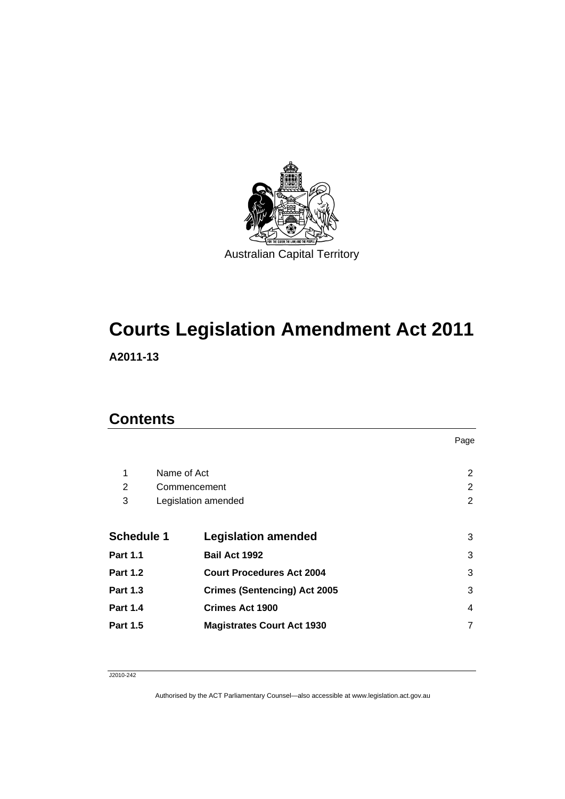

# **[Courts Legislation Amendment Act 2011](#page-2-0)**

**A2011-13** 

## **Contents**

|                   |              |                                     | Page           |
|-------------------|--------------|-------------------------------------|----------------|
|                   |              |                                     |                |
| 1                 | Name of Act  |                                     | 2              |
| 2                 | Commencement |                                     | 2              |
| 3                 |              | Legislation amended                 | $\overline{2}$ |
|                   |              |                                     |                |
| <b>Schedule 1</b> |              | <b>Legislation amended</b>          | 3              |
| <b>Part 1.1</b>   |              | Bail Act 1992                       | 3              |
| <b>Part 1.2</b>   |              | <b>Court Procedures Act 2004</b>    | 3              |
| <b>Part 1.3</b>   |              | <b>Crimes (Sentencing) Act 2005</b> | 3              |
| <b>Part 1.4</b>   |              | <b>Crimes Act 1900</b>              | 4              |
| <b>Part 1.5</b>   |              | <b>Magistrates Court Act 1930</b>   | 7              |

J2010-242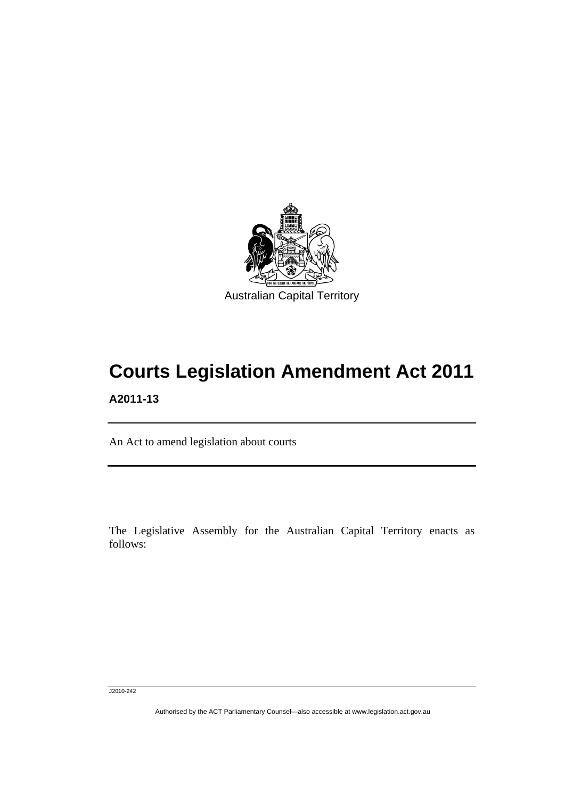<span id="page-2-0"></span>

# **Courts Legislation Amendment Act 2011 A2011-13**

An Act to amend legislation about courts

The Legislative Assembly for the Australian Capital Territory enacts as follows:

J2010-242

l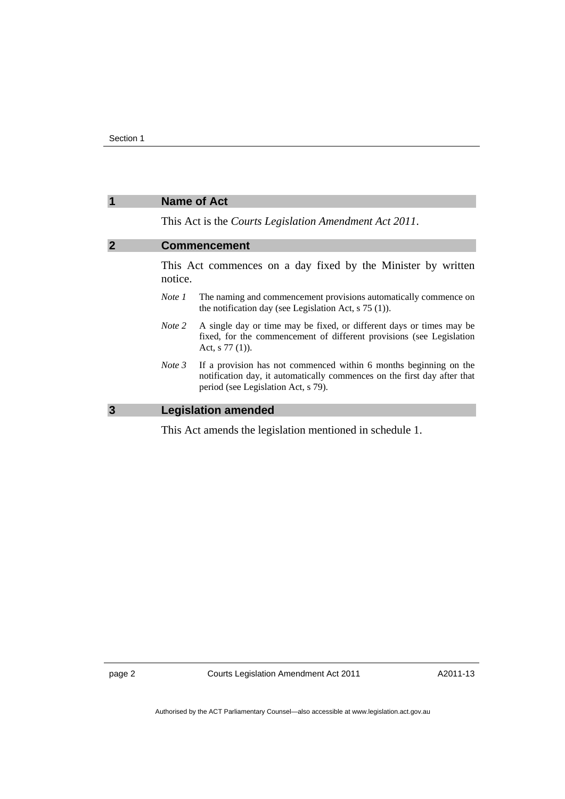### <span id="page-3-0"></span>**1 Name of Act**

This Act is the *Courts Legislation Amendment Act 2011*.

#### **2 Commencement**

This Act commences on a day fixed by the Minister by written notice.

- *Note 1* The naming and commencement provisions automatically commence on the notification day (see Legislation Act, s 75 (1)).
- *Note 2* A single day or time may be fixed, or different days or times may be fixed, for the commencement of different provisions (see Legislation Act, s 77 (1)).
- *Note 3* If a provision has not commenced within 6 months beginning on the notification day, it automatically commences on the first day after that period (see Legislation Act, s 79).

#### **3 Legislation amended**

This Act amends the legislation mentioned in schedule 1.

page 2 Courts Legislation Amendment Act 2011

A2011-13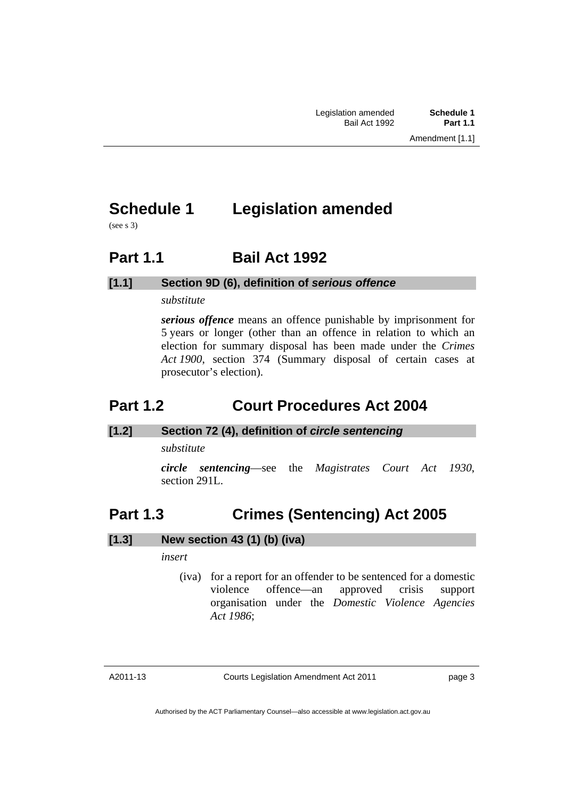# <span id="page-4-0"></span>**Schedule 1 Legislation amended**

(see s 3)

## **Part 1.1 Bail Act 1992**

### **[1.1] Section 9D (6), definition of** *serious offence*

### *substitute*

*serious offence* means an offence punishable by imprisonment for 5 years or longer (other than an offence in relation to which an election for summary disposal has been made under the *Crimes Act 1900*, section 374 (Summary disposal of certain cases at prosecutor's election).

## **Part 1.2 Court Procedures Act 2004**

### **[1.2] Section 72 (4), definition of** *circle sentencing*

*substitute* 

*circle sentencing*—see the *Magistrates Court Act 1930*, section 291L.

## **Part 1.3 Crimes (Sentencing) Act 2005**

### **[1.3] New section 43 (1) (b) (iva)**

*insert* 

 (iva) for a report for an offender to be sentenced for a domestic violence offence—an approved crisis support organisation under the *Domestic Violence Agencies Act 1986*;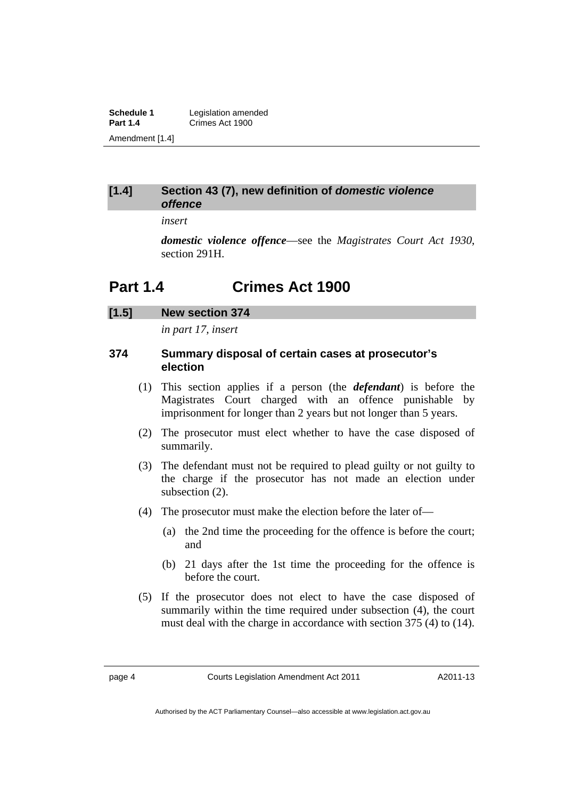<span id="page-5-0"></span>**Schedule 1** Legislation amended<br> **Part 1.4** Crimes Act 1900 **Part 1.4** Crimes Act 1900 Amendment [1.4]

### **[1.4] Section 43 (7), new definition of** *domestic violence offence*

*insert* 

*domestic violence offence*—see the *Magistrates Court Act 1930*, section 291H.

## **Part 1.4 Crimes Act 1900**

## **[1.5] New section 374**

*in part 17, insert* 

### **374 Summary disposal of certain cases at prosecutor's election**

- (1) This section applies if a person (the *defendant*) is before the Magistrates Court charged with an offence punishable by imprisonment for longer than 2 years but not longer than 5 years.
- (2) The prosecutor must elect whether to have the case disposed of summarily.
- (3) The defendant must not be required to plead guilty or not guilty to the charge if the prosecutor has not made an election under subsection  $(2)$ .
- (4) The prosecutor must make the election before the later of—
	- (a) the 2nd time the proceeding for the offence is before the court; and
	- (b) 21 days after the 1st time the proceeding for the offence is before the court.
- (5) If the prosecutor does not elect to have the case disposed of summarily within the time required under subsection (4), the court must deal with the charge in accordance with section 375 (4) to (14).

A2011-13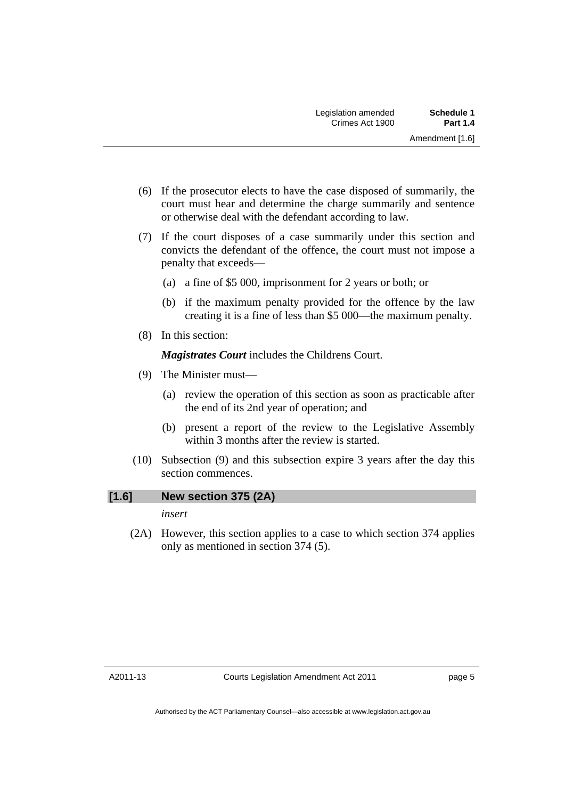- (6) If the prosecutor elects to have the case disposed of summarily, the court must hear and determine the charge summarily and sentence or otherwise deal with the defendant according to law.
- (7) If the court disposes of a case summarily under this section and convicts the defendant of the offence, the court must not impose a penalty that exceeds—
	- (a) a fine of \$5 000, imprisonment for 2 years or both; or
	- (b) if the maximum penalty provided for the offence by the law creating it is a fine of less than \$5 000—the maximum penalty.
- (8) In this section:

*Magistrates Court* includes the Childrens Court.

- (9) The Minister must—
	- (a) review the operation of this section as soon as practicable after the end of its 2nd year of operation; and
	- (b) present a report of the review to the Legislative Assembly within 3 months after the review is started.
- (10) Subsection (9) and this subsection expire 3 years after the day this section commences.

## **[1.6] New section 375 (2A)**

*insert* 

 (2A) However, this section applies to a case to which section 374 applies only as mentioned in section 374 (5).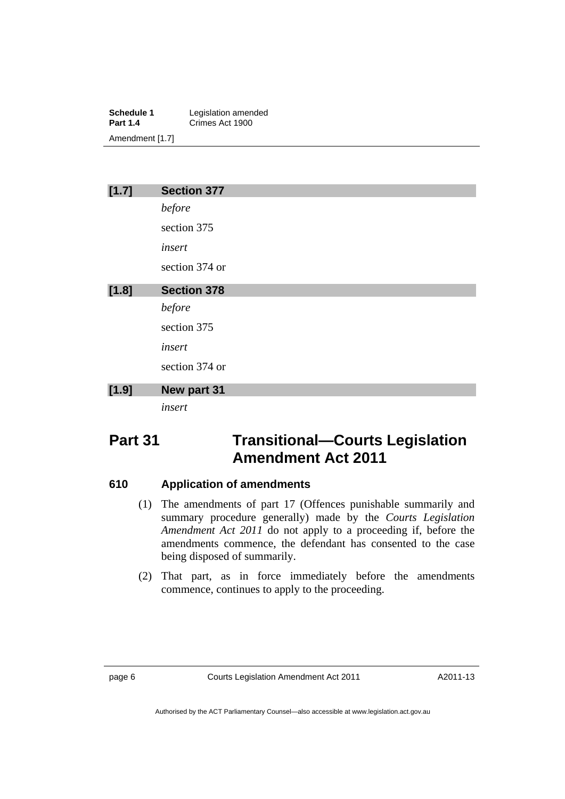**Schedule 1** Legislation amended<br> **Part 1.4** Crimes Act 1900 **Part 1.4** Crimes Act 1900 Amendment [1.7]

| [1.7] | <b>Section 377</b> |  |  |  |
|-------|--------------------|--|--|--|
|       | before             |  |  |  |
|       | section 375        |  |  |  |
|       | insert             |  |  |  |
|       | section 374 or     |  |  |  |
| [1.8] | <b>Section 378</b> |  |  |  |
|       | before             |  |  |  |
|       | section 375        |  |  |  |
|       | insert             |  |  |  |
|       | section 374 or     |  |  |  |
| [1.9] | New part 31        |  |  |  |
|       | insert             |  |  |  |

# **Part 31 Transitional—Courts Legislation Amendment Act 2011**

### **610 Application of amendments**

- (1) The amendments of part 17 (Offences punishable summarily and summary procedure generally) made by the *Courts Legislation Amendment Act 2011* do not apply to a proceeding if, before the amendments commence, the defendant has consented to the case being disposed of summarily.
- (2) That part, as in force immediately before the amendments commence, continues to apply to the proceeding.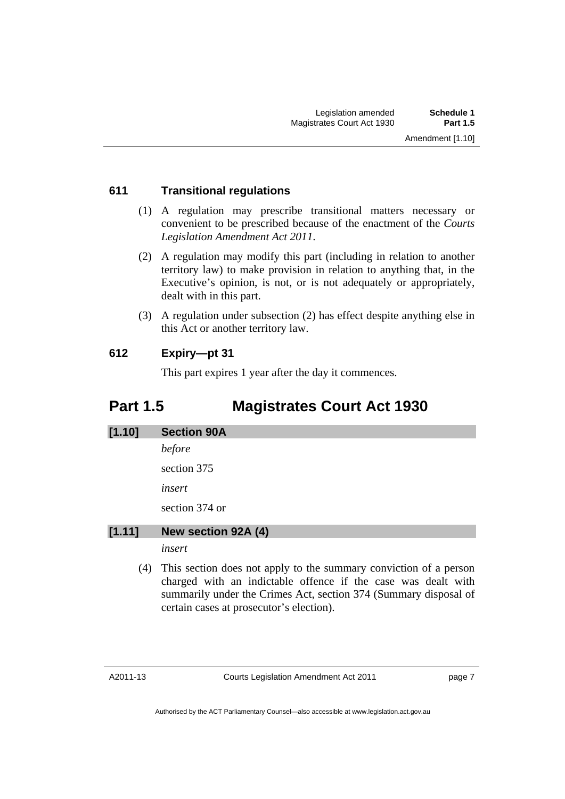## <span id="page-8-0"></span>**611 Transitional regulations**

- (1) A regulation may prescribe transitional matters necessary or convenient to be prescribed because of the enactment of the *Courts Legislation Amendment Act 2011*.
- (2) A regulation may modify this part (including in relation to another territory law) to make provision in relation to anything that, in the Executive's opinion, is not, or is not adequately or appropriately, dealt with in this part.
- (3) A regulation under subsection (2) has effect despite anything else in this Act or another territory law.

## **612 Expiry—pt 31**

This part expires 1 year after the day it commences.

# **Part 1.5 Magistrates Court Act 1930**

# **[1.10] Section 90A**

*before* 

section 375

*insert* 

section 374 or

### **[1.11] New section 92A (4)**

*insert* 

 (4) This section does not apply to the summary conviction of a person charged with an indictable offence if the case was dealt with summarily under the Crimes Act, section 374 (Summary disposal of certain cases at prosecutor's election).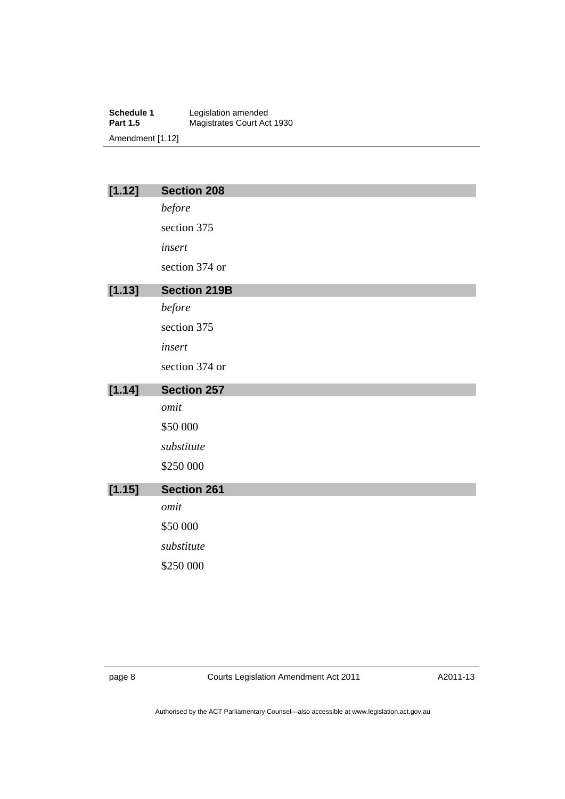**Schedule 1** Legislation amended **Part 1.5** Magistrates Court Act 1930 Amendment [1.12]

| [1.12] | <b>Section 208</b>  |
|--------|---------------------|
|        | before              |
|        | section 375         |
|        | insert              |
|        | section 374 or      |
| [1.13] | <b>Section 219B</b> |
|        | before              |
|        | section 375         |
|        | insert              |
|        | section 374 or      |
|        |                     |
| [1.14] | <b>Section 257</b>  |
|        | omit                |
|        | \$50 000            |
|        | substitute          |
|        | \$250 000           |
| [1.15] | <b>Section 261</b>  |
|        | omit                |
|        | \$50 000            |
|        | substitute          |
|        | \$250 000           |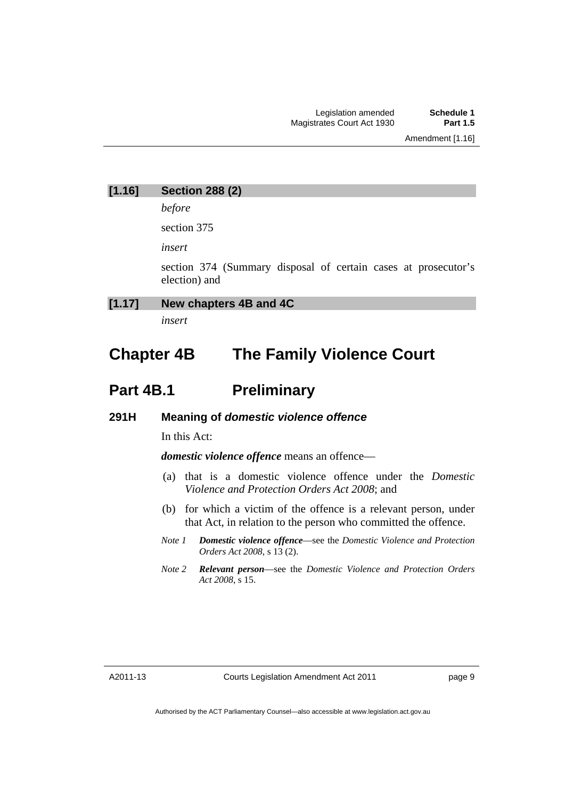### **[1.16] Section 288 (2)**

*before* 

section 375

*insert* 

section 374 (Summary disposal of certain cases at prosecutor's election) and

### **[1.17] New chapters 4B and 4C**

*insert* 

# **Chapter 4B The Family Violence Court**

## **Part 4B.1** Preliminary

### **291H Meaning of** *domestic violence offence*

In this Act:

*domestic violence offence* means an offence—

- (a) that is a domestic violence offence under the *Domestic Violence and Protection Orders Act 2008*; and
- (b) for which a victim of the offence is a relevant person, under that Act, in relation to the person who committed the offence.
- *Note 1 Domestic violence offence*—see the *Domestic Violence and Protection Orders Act 2008*, s 13 (2).
- *Note 2 Relevant person*—see the *Domestic Violence and Protection Orders Act 2008*, s 15.

page 9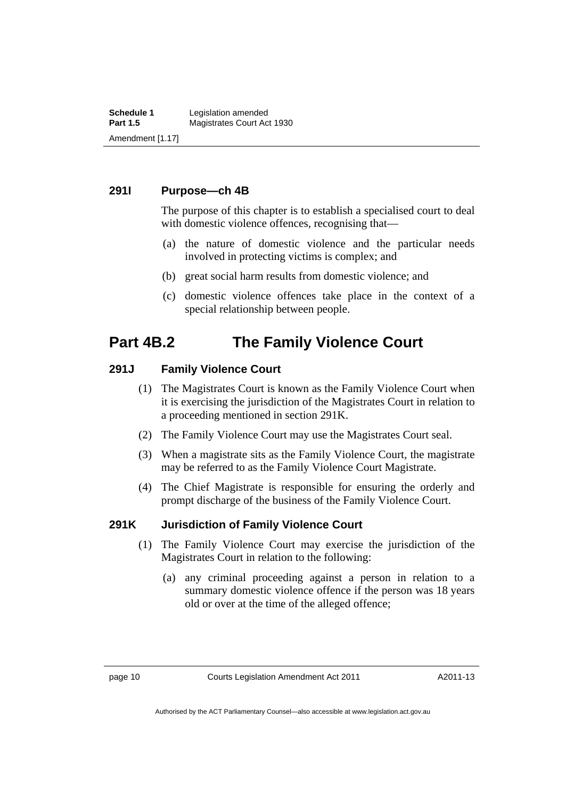### **291I Purpose—ch 4B**

The purpose of this chapter is to establish a specialised court to deal with domestic violence offences, recognising that—

- (a) the nature of domestic violence and the particular needs involved in protecting victims is complex; and
- (b) great social harm results from domestic violence; and
- (c) domestic violence offences take place in the context of a special relationship between people.

## **Part 4B.2 The Family Violence Court**

### **291J Family Violence Court**

- (1) The Magistrates Court is known as the Family Violence Court when it is exercising the jurisdiction of the Magistrates Court in relation to a proceeding mentioned in section 291K.
- (2) The Family Violence Court may use the Magistrates Court seal.
- (3) When a magistrate sits as the Family Violence Court, the magistrate may be referred to as the Family Violence Court Magistrate.
- (4) The Chief Magistrate is responsible for ensuring the orderly and prompt discharge of the business of the Family Violence Court.

### **291K Jurisdiction of Family Violence Court**

- (1) The Family Violence Court may exercise the jurisdiction of the Magistrates Court in relation to the following:
	- (a) any criminal proceeding against a person in relation to a summary domestic violence offence if the person was 18 years old or over at the time of the alleged offence;

A2011-13

Authorised by the ACT Parliamentary Counsel—also accessible at www.legislation.act.gov.au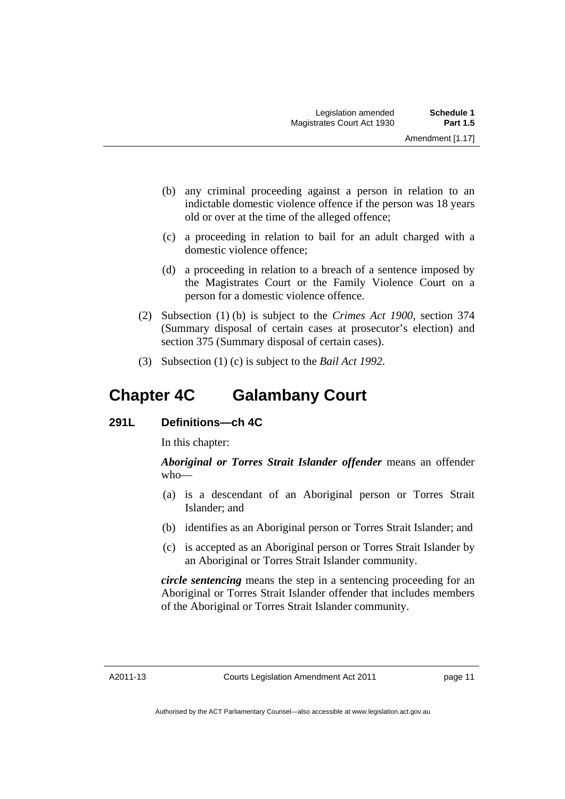- (b) any criminal proceeding against a person in relation to an indictable domestic violence offence if the person was 18 years old or over at the time of the alleged offence;
- (c) a proceeding in relation to bail for an adult charged with a domestic violence offence;
- (d) a proceeding in relation to a breach of a sentence imposed by the Magistrates Court or the Family Violence Court on a person for a domestic violence offence.
- (2) Subsection (1) (b) is subject to the *Crimes Act 1900*, section 374 (Summary disposal of certain cases at prosecutor's election) and section 375 (Summary disposal of certain cases).
- (3) Subsection (1) (c) is subject to the *Bail Act 1992*.

# **Chapter 4C Galambany Court**

### **291L Definitions—ch 4C**

In this chapter:

*Aboriginal or Torres Strait Islander offender* means an offender who—

- (a) is a descendant of an Aboriginal person or Torres Strait Islander; and
- (b) identifies as an Aboriginal person or Torres Strait Islander; and
- (c) is accepted as an Aboriginal person or Torres Strait Islander by an Aboriginal or Torres Strait Islander community.

*circle sentencing* means the step in a sentencing proceeding for an Aboriginal or Torres Strait Islander offender that includes members of the Aboriginal or Torres Strait Islander community.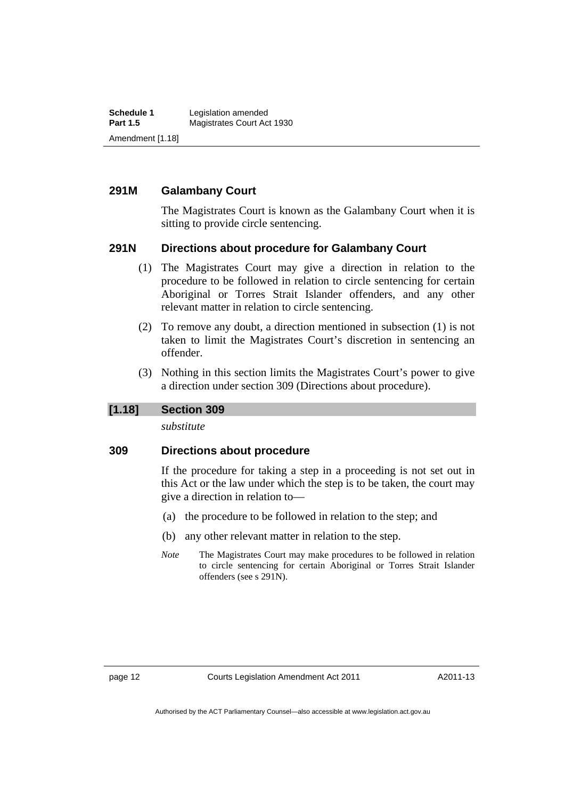**Schedule 1** Legislation amended<br> **Part 1.5** Magistrates Court Ac **Magistrates Court Act 1930** Amendment [1.18]

### **291M Galambany Court**

The Magistrates Court is known as the Galambany Court when it is sitting to provide circle sentencing.

### **291N Directions about procedure for Galambany Court**

- (1) The Magistrates Court may give a direction in relation to the procedure to be followed in relation to circle sentencing for certain Aboriginal or Torres Strait Islander offenders, and any other relevant matter in relation to circle sentencing.
- (2) To remove any doubt, a direction mentioned in subsection (1) is not taken to limit the Magistrates Court's discretion in sentencing an offender.
- (3) Nothing in this section limits the Magistrates Court's power to give a direction under section 309 (Directions about procedure).

### **[1.18] Section 309**

*substitute* 

### **309 Directions about procedure**

If the procedure for taking a step in a proceeding is not set out in this Act or the law under which the step is to be taken, the court may give a direction in relation to—

- (a) the procedure to be followed in relation to the step; and
- (b) any other relevant matter in relation to the step.
- *Note* The Magistrates Court may make procedures to be followed in relation to circle sentencing for certain Aboriginal or Torres Strait Islander offenders (see s 291N).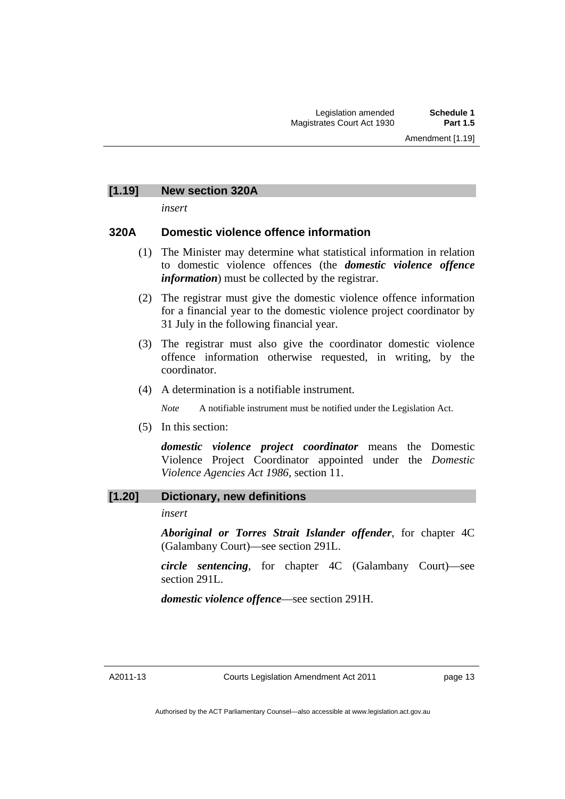### **[1.19] New section 320A**

*insert* 

### **320A Domestic violence offence information**

- (1) The Minister may determine what statistical information in relation to domestic violence offences (the *domestic violence offence information*) must be collected by the registrar.
- (2) The registrar must give the domestic violence offence information for a financial year to the domestic violence project coordinator by 31 July in the following financial year.
- (3) The registrar must also give the coordinator domestic violence offence information otherwise requested, in writing, by the coordinator.
- (4) A determination is a notifiable instrument.

*Note* A notifiable instrument must be notified under the Legislation Act.

(5) In this section:

*domestic violence project coordinator* means the Domestic Violence Project Coordinator appointed under the *Domestic Violence Agencies Act 1986*, section 11.

### **[1.20] Dictionary, new definitions**

*insert* 

*Aboriginal or Torres Strait Islander offender*, for chapter 4C (Galambany Court)—see section 291L.

*circle sentencing*, for chapter 4C (Galambany Court)—see section 291L.

*domestic violence offence*—see section 291H.

A2011-13